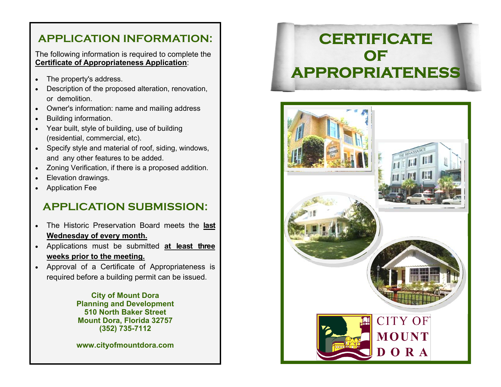### **APPLICATION INFORMATION:**

The following information is required to complete the **Certificate of Appropriateness Application**:

- $\bullet$ The property's address.
- $\bullet$  Description of the proposed alteration, renovation, or demolition.
- $\bullet$ Owner's information: name and mailing address
- $\bullet$ Building information.
- $\bullet$  Year built, style of building, use of building (residential, commercial, etc).
- Specify style and material of roof, siding, windows, and any other features to be added.
- $\bullet$ Zoning Verification, if there is a proposed addition.
- $\bullet$ Elevation drawings.
- Application Fee

### **APPLICATION SUBMISSION:**

- $\bullet$  The Historic Preservation Board meets the **last Wednesday of every month.**
- Applications must be submitted **at least three weeks prior to the meeting.**
- Approval of a Certificate of Appropriateness is required before a building permit can be issued.

**City of Mount Dora Planning and Development 510 North Baker Street Mount Dora, Florida 32757 (352) 735-7112** 

**www.cityofmountdora.com**

# **CERTIFICATE OF APPROPRIATENESS**

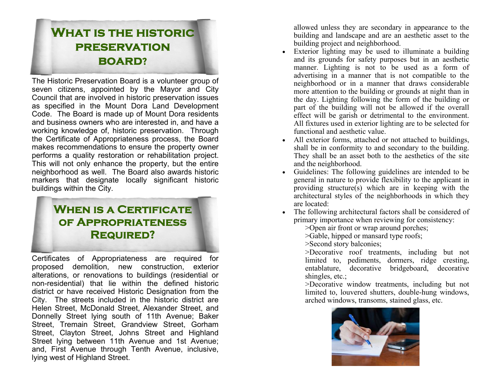# **What is the historic preservation board?**

The Historic Preservation Board is a volunteer group of seven citizens, appointed by the Mayor and City Council that are involved in historic preservation issues as specified in the Mount Dora Land Development Code. The Board is made up of Mount Dora residents and business owners who are interested in, and have a working knowledge of, historic preservation. Through the Certificate of Appropriateness process, the Board makes recommendations to ensure the property owner performs a quality restoration or rehabilitation project. This will not only enhance the property, but the entire neighborhood as well. The Board also awards historic markers that designate locally significant historic buildings within the City.

### **When is a Certificate of Appropriateness Required?**

Certificates of Appropriateness are required for proposed demolition, new construction, exterior alterations, or renovations to buildings (residential or non-residential) that lie within the defined historic district or have received Historic Designation from the City. The streets included in the historic district are Helen Street, McDonald Street, Alexander Street, and Donnelly Street lying south of 11th Avenue; Baker Street, Tremain Street, Grandview Street, Gorham Street, Clayton Street, Johns Street and Highland Street lying between 11th Avenue and 1st Avenue; and, First Avenue through Tenth Avenue, inclusive, lying west of Highland Street.

allowed unless they are secondary in appearance to the building and landscape and are an aesthetic asset to the building project and neighborhood.

- $\bullet$  Exterior lighting may be used to illuminate a building and its grounds for safety purposes but in an aesthetic manner. Lighting is not to be used as a form of advertising in a manner that is not compatible to the neighborhood or in a manner that draws considerable more attention to the building or grounds at night than in the day. Lighting following the form of the building or part of the building will not be allowed if the overall effect will be garish or detrimental to the environment. All fixtures used in exterior lighting are to be selected for functional and aesthetic value.
- All exterior forms, attached or not attached to buildings, shall be in conformity to and secondary to the building. They shall be an asset both to the aesthetics of the site and the neighborhood.
- Guidelines: The following guidelines are intended to be general in nature to provide flexibility to the applicant in providing structure(s) which are in keeping with the architectural styles of the neighborhoods in which they are located:
- The following architectural factors shall be considered of primary importance when reviewing for consistency:
	- >Open air front or wrap around porches;
	- >Gable, hipped or mansard type roofs;
	- >Second story balconies;
	- >Decorative roof treatments, including but not limited to, pediments, dormers, ridge cresting, entablature, decorative bridgeboard, decorative shingles, etc.;
	- >Decorative window treatments, including but not limited to, louvered shutters, double-hung windows, arched windows, transoms, stained glass, etc.

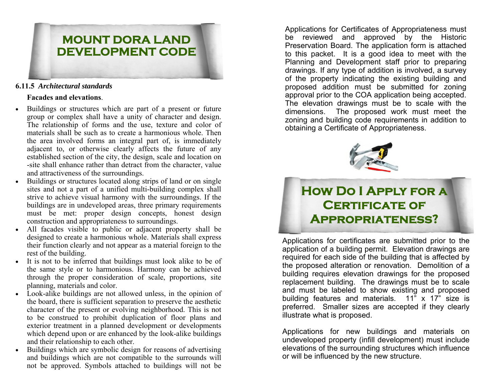

#### **6.11.5** *Architectural standards*

#### **Facades and elevations**.

- $\bullet$  Buildings or structures which are part of a present or future group or complex shall have a unity of character and design. The relationship of forms and the use, texture and color of materials shall be such as to create a harmonious whole. Then the area involved forms an integral part of, is immediately adjacent to, or otherwise clearly affects the future of any established section of the city, the design, scale and location on -site shall enhance rather than detract from the character, value and attractiveness of the surroundings.
- Buildings or structures located along strips of land or on single sites and not a part of a unified multi-building complex shall strive to achieve visual harmony with the surroundings. If the buildings are in undeveloped areas, three primary requirements must be met: proper design concepts, honest design construction and appropriateness to surroundings.
- All facades visible to public or adjacent property shall be designed to create a harmonious whole. Materials shall express their function clearly and not appear as a material foreign to the rest of the building.
- It is not to be inferred that buildings must look alike to be of the same style or to harmonious. Harmony can be achieved through the proper consideration of scale, proportions, site planning, materials and color.
- Look-alike buildings are not allowed unless, in the opinion of the board, there is sufficient separation to preserve the aesthetic character of the present or evolving neighborhood. This is not to be construed to prohibit duplication of floor plans and exterior treatment in a planned development or developments which depend upon or are enhanced by the look-alike buildings and their relationship to each other.
- $\bullet$  Buildings which are symbolic design for reasons of advertising and buildings which are not compatible to the surrounds will not be approved. Symbols attached to buildings will not be

Applications for Certificates of Appropriateness must be reviewed and approved by the Historic Preservation Board. The application form is attached to this packet. It is a good idea to meet with the Planning and Development staff prior to preparing drawings. If any type of addition is involved, a survey of the property indicating the existing building and proposed addition must be submitted for zoning approval prior to the COA application being accepted. The elevation drawings must be to scale with the dimensions. The proposed work must meet the zoning and building code requirements in addition to obtaining a Certificate of Appropriateness.



# **How Do I Apply for a Certificate of Appropriateness?**

Applications for certificates are submitted prior to the application of a building permit. Elevation drawings are required for each side of the building that is affected by the proposed alteration or renovation. Demolition of a building requires elevation drawings for the proposed replacement building. The drawings must be to scale and must be labeled to show existing and proposed building features and materials.  $11^{\degree}$  x  $17^{\degree}$  size is preferred. Smaller sizes are accepted if they clearly illustrate what is proposed.

Applications for new buildings and materials on undeveloped property (infill development) must include elevations of the surrounding structures which influence or will be influenced by the new structure.